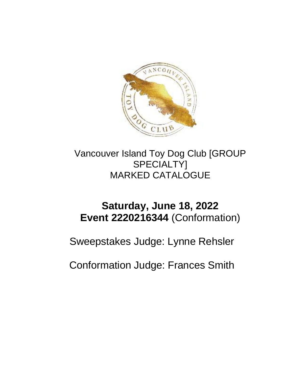

Vancouver Island Toy Dog Club [GROUP SPECIALTY] MARKED CATALOGUE

## **Saturday, June 18, 2022 Event 2220216344** (Conformation)

Sweepstakes Judge: Lynne Rehsler

Conformation Judge: Frances Smith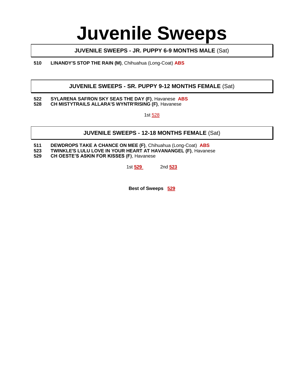## **Juvenile Sweeps**

#### **JUVENILE SWEEPS - JR. PUPPY 6-9 MONTHS MALE** (Sat)

**510 LINANDY'S STOP THE RAIN (M)**, Chihuahua (Long-Coat) **ABS**

#### **JUVENILE SWEEPS - SR. PUPPY 9-12 MONTHS FEMALE** (Sat)

#### **522 SYLARENA SAFRON SKY SEAS THE DAY (F)**, Havanese **ABS 528 CH MISTYTRAILS ALLARA'S WYNTR'RISING (F)**, Havanese

1st 528

#### **JUVENILE SWEEPS - 12-18 MONTHS FEMALE** (Sat)

**511 DEWDROPS TAKE A CHANCE ON MEE (F)**, Chihuahua (Long-Coat) **ABS**

**523 TWINKLE'S LULU LOVE IN YOUR HEART AT HAVANANGEL (F)**, Havanese

**529 CH OESTE'S ASKIN FOR KISSES (F)**, Havanese

1st **529** 2nd **523**

**Best of Sweeps 529**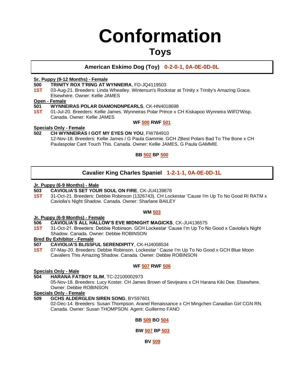# **Conformation**

### **Toys**

### **American Eskimo Dog (Toy) 0-2-0-1, 0A-0E-0D-0L**

#### **Sr. Puppy (9-12 Months) - Female**

- **500 TRINITY ROX T'RING AT WYNNEIRA**, FD-JQ4119503
- **1ST** 03-Aug-21. Breeders: Linda Wheatley. Wintersun's Rockstar at Trinity x Trinity's Amazing Grace. Elsewhere. Owner: Kellie JAMES

#### **Open - Female**

- **501 WYNNEIRAS POLAR DIAMONDNPEARLS**, CK-HN4018698
- **1ST** 01-Jul-20. Breeders: Kellie James. Wynneiras Polar Prince x CH Kiskapoo Wynneira Will'O'Wisp. Canada. Owner: Kellie JAMES

#### **WF 500 RWF 501**

#### **Specials Only - Female**

#### **502 CH WYNNEIRAS I GOT MY EYES ON YOU**, FW784910

12-Nov-18. Breeders: Kellie James / G Paula Gammie. GCH ZBest Polars Bad To The Bone x CH Paulaspolar Cant Touch This. Canada. Owner: Kellie JAMES, G Paula GAMMIE

#### **BB 502 BP 500**

#### **Cavalier King Charles Spaniel 1-2-1-1, 0A-0E-0D-1L**

## **Jr. Puppy (6-9 Months) - Male**

#### **503 CAVIOLIA'S SET YOUR SOUL ON FIRE**, CK-JU4139878

**1ST** 31-Oct-21. Breeders: Debbie Robinson (1326743). CH Lockestar 'Cause I'm Up To No Good RI RATM x Caviolia's Night Shadow. Canada. Owner: Sharlane BAILEY

#### **WM 503**

#### **Jr. Puppy (6-9 Months) - Female**

#### **506 CAVIOLIA'S ALL HALLOW'S EVE MIDNIGHT MAGICKS**, CK-JU4136575

**1ST** 31-Oct-21. Breeders: Debbie Robinson. GCH Lockestar 'Cause I'm Up To No Good x Caviolia's Night Shadow. Canada. Owner: Debbie ROBINSON

#### **Bred By Exhibitor - Female**

- **507 CAVIOLIA'S BLISSFUL SERENDIPITY**, CK-HJ4008534
- **1ST** 07-May-20. Breeders: Debbie Robinson. Lockestar ' Cause I'm Up To No Good x GCH Blue Moon Cavaliers This Amazing Shadow. Canada. Owner: Debbie ROBINSON

#### **WF 507 RWF 506**

#### **Specials Only - Male**

#### **504 HARANA FATBOY SLIM**, TC-22100002973

05-Nov-18. Breeders: Lucy Koster. CH James Brown of Sevijeans x CH Harana Kiki Dee. Elsewhere. Owner: Debbie ROBINSON

#### **Specials Only - Female**

**509 GCHS ALDERGLEN SIREN SONG**, BY597601

02-Dec-14. Breeders: Susan Thompson. Aranel Renaissance x CH Mingchen Canadian Girl CGN RN. Canada. Owner: Susan THOMPSON. Agent: Guillermo FANO

#### **BB 509 BO 504**

#### **BW 507 BP 503**

**BV 509**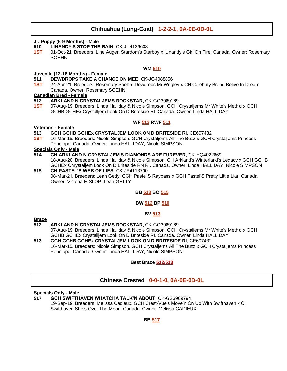### **Chihuahua (Long-Coat) 1-2-2-1, 0A-0E-0D-0L**

#### **Jr. Puppy (6-9 Months) - Male**

- **510 LINANDY'S STOP THE RAIN**, CK-JU4136608
- **1ST** 01-Oct-21. Breeders: Line Auger. Stardom's Starboy x 'Linandy's Girl On Fire. Canada. Owner: Rosemary **SOEHN**

#### **WM 510**

#### **Juvenile (12-18 Months) - Female**

#### **511 DEWDROPS TAKE A CHANCE ON MEE**, CK-JG4088856

**1ST** 24-Apr-21. Breeders: Rosemary Soehn. Dewdrops Mr,Wrigley x CH Celebrity Brend Belive In Dream. Canada. Owner: Rosemary SOEHN

#### **Canadian Bred - Female**

- **512 ARKLAND N CRYSTALJEMS ROCKSTAR**, CK-GQ3969169
- **1ST** 07-Aug-19. Breeders: Linda Halliday & Nicole Simpson. GCH Crystaljems Mr White's Meth'd x GCH GCHB GCHEx Crystalljem Look On D Briteside RI. Canada. Owner: Linda HALLIDAY

#### **WF 512 RWF 511**

#### **Veterans - Female**

- **513 GCH GCHB GCHEx CRYSTALJEM LOOK ON D BRITESIDE RI**, CE607432
- **1ST** 16-Mar-15. Breeders: Nicole Simpson. GCH Crystaljems All The Buzz x GCH Crystaljems Princess Penelope. Canada. Owner: Linda HALLIDAY, Nicole SIMPSON

#### **Specials Only - Male**

- **514 CH ARKLAND N CRYSTALJEM'S DIAMONDS ARE FUREVER**, CK-HQ4022669 18-Aug-20. Breeders: Linda Halliday & Nicole Simpson. CH Arkland's Winterland's Legacy x GCH GCHB GCHEx Chrystaljem Look On D Briteside RN RI. Canada. Owner: Linda HALLIDAY, Nicole SIMPSON
- **515 CH PASTEL'S WEB OF LIES**, CK-JE4113700 08-Mar-21. Breeders: Leah Getty. GCH Pastel'S Raybans x GCH Pastel'S Pretty Little Liar. Canada. Owner: Victoria HISLOP, Leah GETTY

#### **BB 513 BO 515**

#### **BW 512 BP 510**

#### **BV 513**

## **Brace**

- **512 ARKLAND N CRYSTALJEMS ROCKSTAR**, CK-GQ3969169 07-Aug-19. Breeders: Linda Halliday & Nicole Simpson. GCH Crystaljems Mr White's Meth'd x GCH GCHB GCHEx Crystalljem Look On D Briteside RI. Canada. Owner: Linda HALLIDAY
- **513 GCH GCHB GCHEx CRYSTALJEM LOOK ON D BRITESIDE RI**, CE607432 16-Mar-15. Breeders: Nicole Simpson. GCH Crystaljems All The Buzz x GCH Crystaljems Princess Penelope. Canada. Owner: Linda HALLIDAY, Nicole SIMPSON

#### **Best Brace 512/513**

#### **Chinese Crested 0-0-1-0, 0A-0E-0D-0L**

#### **Specials Only - Male**

**517 GCH SWIFTHAVEN WHATCHA TALK'N ABOUT**, CK-GS3969794 19-Sep-19. Breeders: Melissa Cadieux. GCH Crest-Vue's Move'n On Up With Swifthaven x CH Swifthaven She's Over The Moon. Canada. Owner: Melissa CADIEUX

#### **BB 517**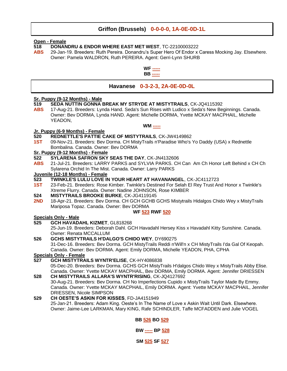#### **Griffon (Brussels) 0-0-0-0, 1A-0E-0D-1L**

#### **Open - Female**

- **518 DONANDRU & ENDOR WHERE EAST MET WEST**, TC-22100003222
- **ABS** 29-Jan-19. Breeders: Ruth Pereira. Donandru's Super Hero Of Endor x Caress Mocking Jay. Elsewhere. Owner: Pamela WALDRON, Ruth PEREIRA. Agent: Gerri-Lynn SHURB



#### **Havanese 0-3-2-3, 2A-0E-0D-0L**

#### **Sr. Puppy (9-12 Months) - Male**

- **519 SEDA NUTTIN GONNA BREAK MY STRYDE AT MISTYTRAILS**, CK-JQ4115392
- **ABS** 17-Aug-21. Breeders: Lynda Hand. Seda's Sun Rises with Ludico x Seda's New Beginnings. Canada. Owner: Bev DORMA, Lynda HAND. Agent: Michelle DORMA, Yvette MCKAY MACPHAIL, Michelle YEADON,

#### **WM -----**

#### **Jr. Puppy (6-9 Months) - Female**

- **520 REDNETTLE'S PATTIE CAKE OF MISTYTRAILS**, CK-JW4149862
- **1ST** 09-Nov-21. Breeders: Bev Dorma. CH MistyTrails n'Paradise Who's Yo Daddy (USA) x Rednettle Bombalina. Canada. Owner: Bev DORMA

#### **Sr. Puppy (9-12 Months) - Female**

- **522 SYLARENA SAFRON SKY SEAS THE DAY**, CK-JN4132606
- **ABS** 21-Jul-21. Breeders: LARRY PARKS and SYLVIA PARKS. CH Can Am Ch Honor Left Behind x CH Ch Sylarena Orchid In The Mist. Canada. Owner: Larry PARKS

#### **Juvenile (12-18 Months) - Female**

- **523 TWINKLE'S LULU LOVE IN YOUR HEART AT HAVANANGEL**, CK-JC4112723
- **1ST** 23-Feb-21. Breeders: Rose Kimber. Twinkle's Destined For Selah El Rey Trust And Honor x Twinkle's Xtreme Flurry. Canada. Owner: Nadine JOHNSON, Rose KIMBER
- **524 MISTYTRAILS BROOKE BURKE**, CK-JG4119145
- 2ND 18-Apr-21. Breeders: Bev Dorma. CH GCH GCHB GCHS Mistytrails Hidalgos Chido Wey x MistyTrails Mariposa Topaz. Canada. Owner: Bev DORMA

#### **WF 523 RWF 520**

#### **Specials Only - Male**

**525 GCH HAVADAHL KIZMET**, GL818268

25-Jun-19. Breeders: Deborah Dahl. GCH Havadahl Hersey Kiss x Havadahl Kitty Sunshine. Canada. Owner: Renata MCCALLUM

**526 GCHS MISTYTRAILS H'DALGO'S CHIDO WEY**, DY690275 31-Dec-16. Breeders: Bev Dorma. GCH MistyTrails Reddi n'Will'n x CH MistyTrails I'da Gal Of Keopah. Canada. Owner: Bev DORMA. Agent: Emily DORMA, Michelle YEADON, PHA, CPHA

#### **Specials Only - Female**

#### **527 GCH MISTYTRAILS WYNTR'ELISE**, CK-HY4086838

05-Dec-20. Breeders: Bev Dorma. GCHS GCH MistyTrails H'dalgos Chido Wey x MistyTrails Abby Elise. Canada. Owner: Yvette MCKAY MACPHAIL, Bev DORMA, Emily DORMA. Agent: Jennifer DRIESSEN

#### **528 CH MISTYTRAILS ALLARA'S WYNTR'RISING**, CK-JQ4127692

30-Aug-21. Breeders: Bev Dorma. CH No Imperfections Cupido x MistyTrails Taylor Made By Emmy. Canada. Owner: Yvette MCKAY MACPHAIL, Emily DORMA. Agent: Yvette MCKAY MACPHAIL, Jennifer DRIESSEN, Nicole SIMPSON

#### **529 CH OESTE'S ASKIN FOR KISSES**, FD-JA4151949

25-Jan-21. Breeders: Adam King. Oeste's In The Name of Love x Askin Wait Until Dark. Elsewhere. Owner: Jaime-Lee LARKMAN, Mary KING, Rafe SCHINDLER, Taffe MCFADDEN and Julie VOGEL

> **BB 526 BO 529 BW ----- BP 528**

**SM 525 SF 527**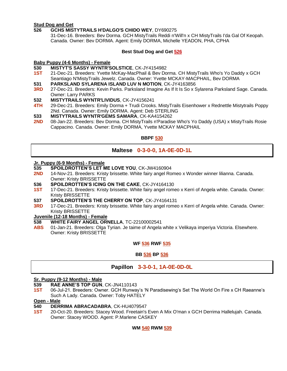#### **Stud Dog and Get**

#### **526 GCHS MISTYTRAILS H'DALGO'S CHIDO WEY**, DY690275

31-Dec-16. Breeders: Bev Dorma. GCH MistyTrails Reddi n'Will'n x CH MistyTrails I'da Gal Of Keopah. Canada. Owner: Bev DORMA. Agent: Emily DORMA, Michelle YEADON, PHA, CPHA

#### **Best Stud Dog and Get 526**

#### **Baby Puppy (4-6 Months) - Female**

#### **530 MISTYT'S SASSY WYNTR'SOLSTICE**, CK-JY4154982

**1ST** 21-Dec-21. Breeders: Yvette McKay-MacPhail & Bev Dorma. CH MistyTrails Who's Yo Daddy x GCH Seantiago N'MistyTrails Jewelz. Canada. Owner: Yvette MCKAY-MACPHAIL, Bev DORMA

#### **531 PARKSLAND SYLARENA ISLAND LUV N MOTION**, CK-JY4163856

- **3RD** 27-Dec-21. Breeders: Kevin Parks. Parksland Imagine As If It Is So x Sylarena Parksland Sage. Canada. Owner: Larry PARKS
- **532 MISTYTRAILS WYNTR'LIVIDUS**, CK-JY4156241
- **4TH** 29-Dec-21. Breeders: Emily Dorma + Trudi Crooks. MistyTrails Eisenhower x Rednettle Mistytrails Poppy 2Nd. Canada. Owner: Emily DORMA. Agent: Deb STERLING

#### **533 MISTYTRAILS WYNTR'GEMS SAMARA**, CK-KA4154262

**2ND** 08-Jan-22. Breeders: Bev Dorma. CH MistyTrails n'Paradise Who's Yo Daddy (USA) x MistyTrails Rosie Cappacino. Canada. Owner: Emily DORMA, Yvette MCKAY MACPHAIL

#### **BBPF 530**

#### **Maltese 0-3-0-0, 1A-0E-0D-1L**

#### **Jr. Puppy (6-9 Months) - Female**

- **535 SPOILDROTTEN'S LET ME LOVE YOU**, CK-JW4160904
- **2ND** 14-Nov-21. Breeders: Kristy brissette. White fairy angel Romeo x Wonder winner lilianna. Canada. Owner: Kristy BRISSETTE
- **536 SPOILDROTTEN'S ICING ON THE CAKE**, CK-JY4164130
- **1ST** 17-Dec-21. Breeders: Kristy brissette. White fairy angel romeo x Kerri of Angela white. Canada. Owner: Kristy BRISSETTE
- **537 SPOILDROTTEN'S THE CHERRY ON TOP**, CK-JY4164131
- **3RD** 17-Dec-21. Breeders: Kristy brissette. White fairy angel romeo x Kerri of Angela white. Canada. Owner: Kristy BRISSETTE

## **Juvenile (12-18 Months) - Female**

- **538 WHITE FAIRY ANGEL ORNELLA**, TC-22100002541
- **ABS** 01-Jan-21. Breeders: Olga Tyrian. Je taime of Angela white x Velikaya imperiya Victoria. Elsewhere. Owner: Kristy BRISSETTE

#### **WF 536 RWF 535**

#### **BB 536 BP 536**

#### **Papillon 3-3-0-1, 1A-0E-0D-0L**

#### **Sr. Puppy (9-12 Months) - Male**

**539 RAE ANNE'S TOP GUN**, CK-JN4110143

**1ST** 06-Jul-21. Breeders: Owner. GCH Runway's 'N Paradisewing's Set The World On Fire x CH Raeanne's Such A Lady. Canada. Owner: Toby HATELY

#### **Open - Male**

#### **540 DERRIMA ABRACADABRA**, CK-HU4079547

**1ST** 20-Oct-20. Breeders: Stacey Wood. Freetain's Even A Mix O'man x GCH Derrima Hallelujah. Canada. Owner: Stacey WOOD. Agent: P.Marlene CASKEY

#### **WM 540 RWM 539**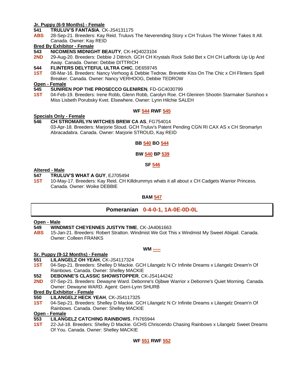#### **Jr. Puppy (6-9 Months) - Female**

**541 TRULUV'S FANTASIA**, CK-JS4131175

**ABS** 28-Sep-21. Breeders: Kay Reid. Truluvs The Neverending Story x CH Truluvs The Winner Takes It All. Canada. Owner: Kay REID

#### **Bred By Exhibitor - Female**

**543 NICOMENS MIDNIGHT BEAUTY**, CK-HQ4023104

- **2ND** 29-Aug-20. Breeders: Debbie J Dittrich. GCH CH Krystals Rock Solid Bet x CH CH Laffords Up Up And Away. Canada. Owner: Debbie DITTRICH
- **544 FLINTERS DELYTEFUL ULTRA CHIC**, DE659745
- **1ST** 08-Mar-16. Breeders: Nancy Verhoog & Debbie Tedrow. Brevette Kiss On The Chic x CH Flinters Spell Breaker. Canada. Owner: Nancy VERHOOG, Debbie TEDROW

**Open - Female**

- **545 SUNIREN POP THE PROSECCO GLENIREN**, FD-GC4030799
- **1ST** 04-Feb-19. Breeders: Irene Robb, Glenn Robb, Carolyn Roe. CH Gleniren Shootin Starmaker Sunshoo x Miss Lisbeth Porubsky Kvet. Elsewhere. Owner: Lynn Hilchie SALEH

#### **WF 544 RWF 545**

#### **Specials Only - Female**

**546 CH STROMARLYN WITCHES BREW CA AS**, FG754014

03-Apr-18. Breeders: Marjorie Stoud. GCH Truluv's Patent Pending CGN RI CAX AS x CH Stromarlyn Abracadabra. Canada. Owner: Marjorie STROUD, Kay REID

#### **BB 540 BO 544**

#### **BW 540 BP 539**

#### **SF 546**

#### **Altered - Male**

**547 TRULUV'S WHAT A GUY**, EJ705494

**1ST** 10-May-17. Breeders: Kay Reid. CH Killdrummys whats it all about x CH Cadgets Warrior Princess. Canada. Owner: Woike DEBBIE

#### **BAM 547**

**Pomeranian 0-4-0-1, 1A-0E-0D-0L**

#### **Open - Male**

- **549 WINDMIST CHEYENNES JUSTYN TIME**, CK-JA4061663
- **ABS** 15-Jan-21. Breeders: Robert Stratton. Windmist We Got This x Windmist My Sweet Abigail. Canada. Owner: Colleen FRANKS

#### **Sr. Puppy (9-12 Months) - Female**

- **551 LILANGELZ OH YEAH**, CK-JS4117324
- **1ST** 04-Sep-21. Breeders: Shelley D Mackie. GCH Lilangelz N Cr Infinite Dreams x Lilangelz Dream'n Of Rainbows. Canada. Owner: Shelley MACKIE
- **552 DEBONNE'S CLASSIC SHOWSTOPPER**, CK-JS4144242
- **2ND** 07-Sep-21. Breeders: Dewayne Ward. Debonne's Ojibwe Warrior x Debonne's Quiet Morning. Canada. Owner: Dewayne WARD. Agent: Gerri-Lynn SHURB

#### **Bred By Exhibitor - Female**

- **550 LILANGELZ HECK YEAH**, CK-JS4117325
- **1ST** 04-Sep-21. Breeders: Shelley D Mackie. GCH Lilangelz N Cr Infinite Dreams x Lilangelz Dream'n Of Rainbows. Canada. Owner: Shelley MACKIE

#### **Open - Female**

- **553 LILANGELZ CATCHING RAINBOWS**, FN765944
- **1ST** 22-Jul-18. Breeders: Shelley D Mackie. GCHS Chriscendo Chasing Rainbows x Lilangelz Sweet Dreams Of You. Canada. Owner: Shelley MACKIE

### **WM -----**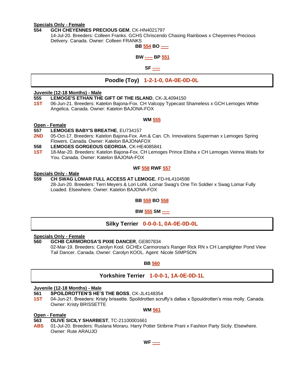#### **Specials Only - Female**

#### **554 GCH CHEYENNES PRECIOUS GEM**, CK-HN4021797

14-Jul-20. Breeders: Colleen Franks. GCHS Chriscendo Chasing Rainbows x Cheyennes Precious Delivery. Canada. Owner: Colleen FRANKS

## **BB 554 BO -----**

#### **BW ----- BP 551**

#### **SF -----**

#### **Poodle (Toy) 1-2-1-0, 0A-0E-0D-0L**

#### **Juvenile (12-18 Months) - Male**

#### **555 LEMOGE'S ETHAN THE GIFT OF THE ISLAND**, CK-JL4094150

**1ST** 06-Jun-21. Breeders: Katelon Bajona-Fox. CH Valcopy Typecast Shameless x GCH Lemoges White Angelica. Canada. Owner: Katelon BAJONA-FOX

#### **WM 555**

#### **Open - Female**

#### **557 LEMOGES BABY'S BREATHE**, EU734157

**2ND** 05-Oct-17. Breeders: Katelon Bajona-Fox. Am.& Can. Ch. Innovations Superman x Lemoges Spring Flowers. Canada. Owner: Katelon BAJONAFOX

#### **558 LEMOGES GORGEOUS GEORGIA**, CK-HE4085841

**1ST** 18-Mar-20. Breeders: Katelon Bajona-Fox. CH Lemoges Prince Elisha x CH Lemoges Veinna Waits for You. Canada. Owner: Katelon BAJONA-FOX

#### **WF 558 RWF 557**

#### **Specials Only - Male**

#### **559 CH SWAG LOMAR FULL ACCESS AT LEMOGE**, FD-HL4104598 28-Jun-20. Breeders: Terri Meyers & Lori Lohli. Lomar Swag's One Tin Soldier x Swag Lomar Fully Loaded. Elsewhere. Owner: Katelon BAJONA-FOX

#### **BB 559 BO 558**

#### **BW 555 SM -----**

#### **Silky Terrier 0-0-0-1, 0A-0E-0D-0L**

#### **Specials Only - Female**

#### **560 GCHB CARMOROSA'S PIXIE DANCER**, GE807834

02-Mar-19. Breeders: Carolyn Kool. GCHEx Carmorosa's Ranger Rick RN x CH Lamplighter Pond View Tail Dancer. Canada. Owner: Carolyn KOOL. Agent: Nicole SIMPSON

#### **BB 560**

#### **Yorkshire Terrier 1-0-0-1, 1A-0E-0D-1L**

#### **Juvenile (12-18 Months) - Male**

- **561 SPOILDROTTEN'S HE'S THE BOSS**, CK-JL4148354
- **1ST** 04-Jun-21. Breeders: Kristy brissette. Spoildrotten scruffy's dallas x Spouldrotten's miss molly. Canada. Owner: Kristy BRISSETTE

#### **WM 561**

#### **Open - Female**

- **563 OLIVE SICILY SHARBEST**, TC-21100001661
- **ABS** 01-Jul-20. Breeders: Ruslana Moraru. Harry Potter Stribrne Prani x Fashion Party Sicily. Elsewhere. Owner: Rute ARAUJO